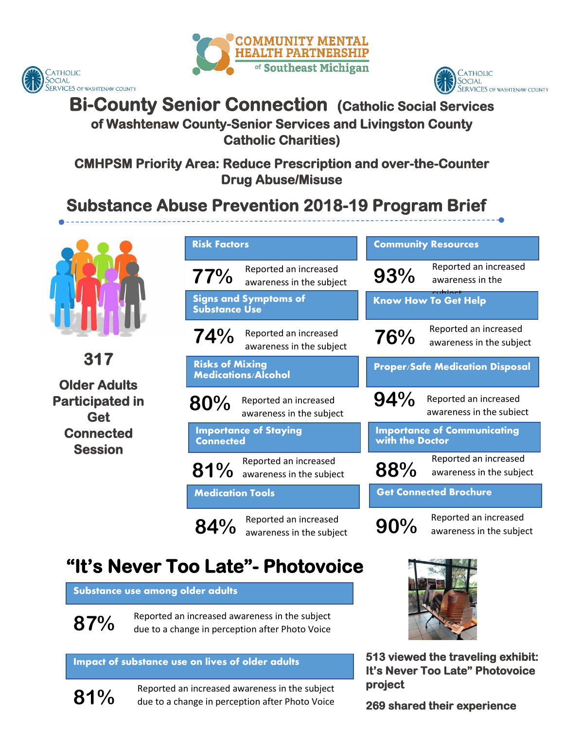





# **Bi-County Senior Connection (Catholic Social Services**

### **of Washtenaw County-Senior Services and Livingston County Catholic Charities)**

**CMHPSM Priority Area: Reduce Prescription and over-the-Counter Drug Abuse/Misuse** 

# **Substance Abuse Prevention 2018-19 Program Brief**



**317** 

**Older Adults Participated in Get Connected Session**

| <b>Risk Factors</b>                                         | <b>Community Resources</b>                                  |
|-------------------------------------------------------------|-------------------------------------------------------------|
| Reported an increased<br>77%<br>awareness in the subject    | Reported an increased<br>93%<br>awareness in the<br>u bioch |
| <b>Signs and Symptoms of</b><br><b>Substance Use</b>        | <b>Know How To Get Help</b>                                 |
| Reported an increased<br>74%<br>awareness in the subject    | Reported an increased<br>76%<br>awareness in the subject    |
| <b>Risks of Mixing</b><br><b>Medications/Alcohol</b>        | <b>Proper/Safe Medication Disposal</b>                      |
| Reported an increased<br>80%<br>awareness in the subject    | 94%<br>Reported an increased<br>awareness in the subject    |
| <b>Importance of Staying</b><br><b>Connected</b>            | <b>Importance of Communicating</b><br>with the Doctor       |
| Reported an increased<br>81% Neported and morecast          | Reported an increased<br>88%<br>awareness in the subject    |
| <b>Medication Tools</b>                                     | <b>Get Connected Brochure</b>                               |
| Reported an increased<br>$84\%$<br>awareness in the subject | Reported an increased<br>90%<br>awareness in the subject    |

# **"It's Never Too Late"- Photovoice**

**Substance use among older adults** 

 due to a change in perception after Photo Voice **87%** Reported an increased awareness in the subject

#### **Impact of substance use on lives of older adults**

**81%**

Reported an increased awareness in the subject due to a change in perception after Photo Voice



**513 viewed the traveling exhibit: It's Never Too Late" Photovoice project** 

**269 shared their experience**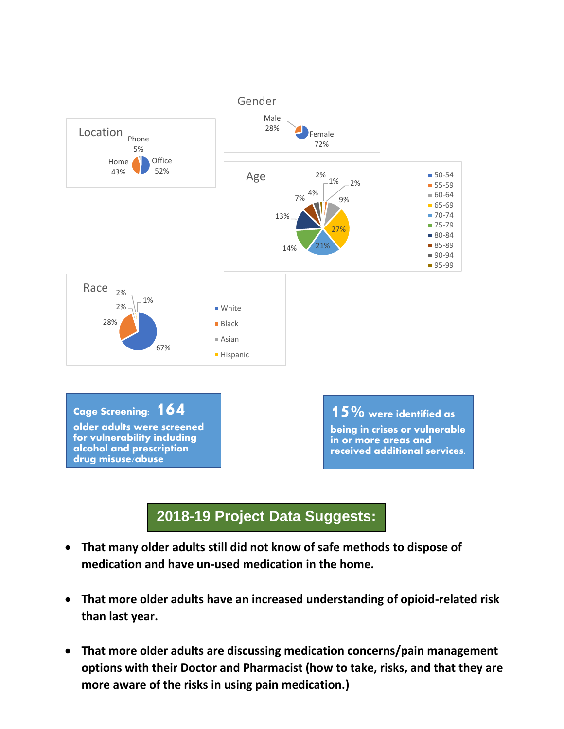

### **2018-19 Project Data Suggests:**

- **That many older adults still did not know of safe methods to dispose of medication and have un-used medication in the home. sussssSssuggesuggests:**
- • **That more older adults have an increased understanding of opioid-related risk than last year.**
- Focus Areas • **That more older adults are discussing medication concerns/pain management options with their Doctor and Pharmacist (how to take, risks, and that they are more aware of the risks in using pain medication.)**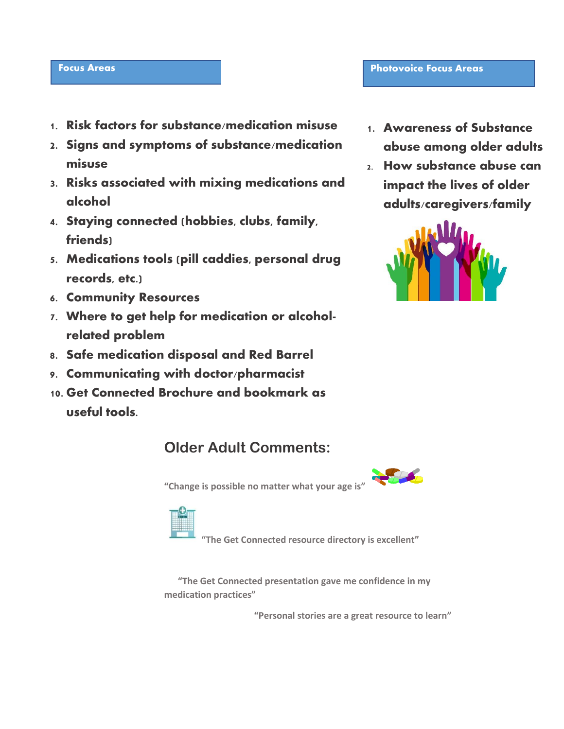#### **Focus Areas**

- **1. Risk factors for substance/medication misuse**
- **2. Signs and symptoms of substance/medication misuse**
- **alcohol 3. Risks associated with mixing medications and**
- **4. Staying connected (hobbies, clubs, family, friends)**
- **5. Medications tools (pill caddies, personal drug records, etc.)**
- **6. Community Resources**
- **7. Where to get help for medication or alcoholrelated problem**
- **8. Safe medication disposal and Red Barrel**
- **9. Communicating with doctor/pharmacist**
- **10. Get Connected Brochure and bookmark as useful tools.**

## **Older Adult Comments:**

**COLOR** 

 **"Change is possible no matter what your age is"** 



 **"The Get Connected resource directory is excellent"**

 **"The Get Connected presentation gave me confidence in my medication practices"**

 **"Personal stories are a great resource to learn"**

**1. Awareness of Substance abuse among older adults**

**Focus Areas Photovoice Focus Areas**

**2. How substance abuse can impact the lives of older adults/caregivers/family**